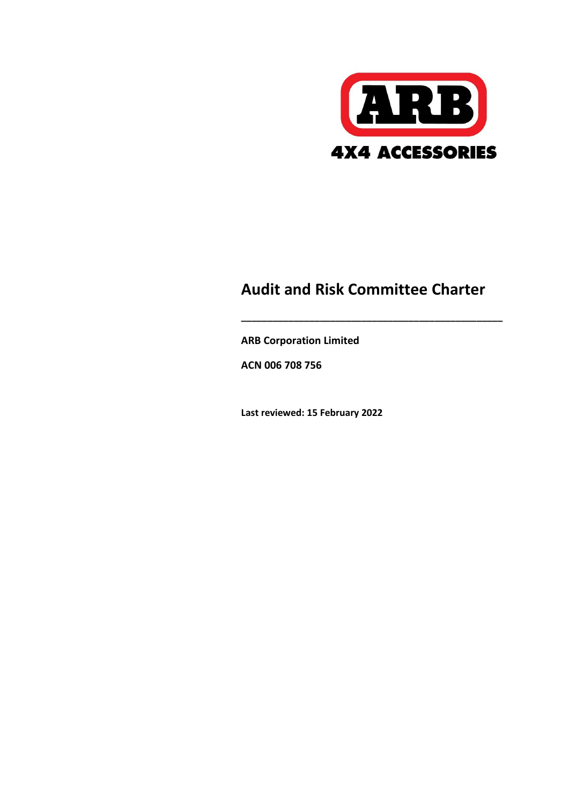

# **Audit and Risk Committee Charter**

**\_\_\_\_\_\_\_\_\_\_\_\_\_\_\_\_\_\_\_\_\_\_\_\_\_\_\_\_\_\_\_\_\_\_\_\_\_\_\_\_\_\_\_\_\_\_\_\_\_\_**

**ARB Corporation Limited**

**ACN 006 708 756**

**Last reviewed: 15 February 2022**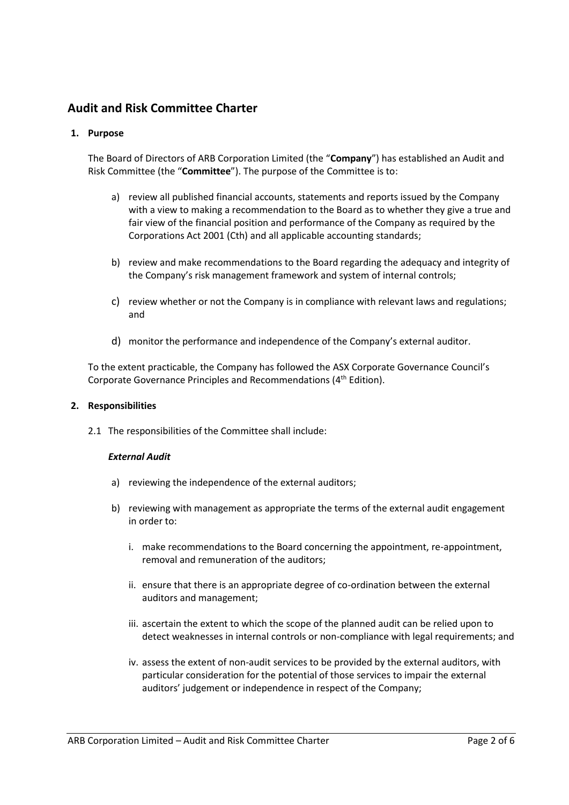# **Audit and Risk Committee Charter**

# **1. Purpose**

The Board of Directors of ARB Corporation Limited (the "**Company**") has established an Audit and Risk Committee (the "**Committee**"). The purpose of the Committee is to:

- a) review all published financial accounts, statements and reports issued by the Company with a view to making a recommendation to the Board as to whether they give a true and fair view of the financial position and performance of the Company as required by the Corporations Act 2001 (Cth) and all applicable accounting standards;
- b) review and make recommendations to the Board regarding the adequacy and integrity of the Company's risk management framework and system of internal controls;
- c) review whether or not the Company is in compliance with relevant laws and regulations; and
- d) monitor the performance and independence of the Company's external auditor.

To the extent practicable, the Company has followed the ASX Corporate Governance Council's Corporate Governance Principles and Recommendations (4<sup>th</sup> Edition).

#### **2. Responsibilities**

2.1 The responsibilities of the Committee shall include:

# *External Audit*

- a) reviewing the independence of the external auditors;
- b) reviewing with management as appropriate the terms of the external audit engagement in order to:
	- i. make recommendations to the Board concerning the appointment, re-appointment, removal and remuneration of the auditors;
	- ii. ensure that there is an appropriate degree of co-ordination between the external auditors and management;
	- iii. ascertain the extent to which the scope of the planned audit can be relied upon to detect weaknesses in internal controls or non-compliance with legal requirements; and
	- iv. assess the extent of non-audit services to be provided by the external auditors, with particular consideration for the potential of those services to impair the external auditors' judgement or independence in respect of the Company;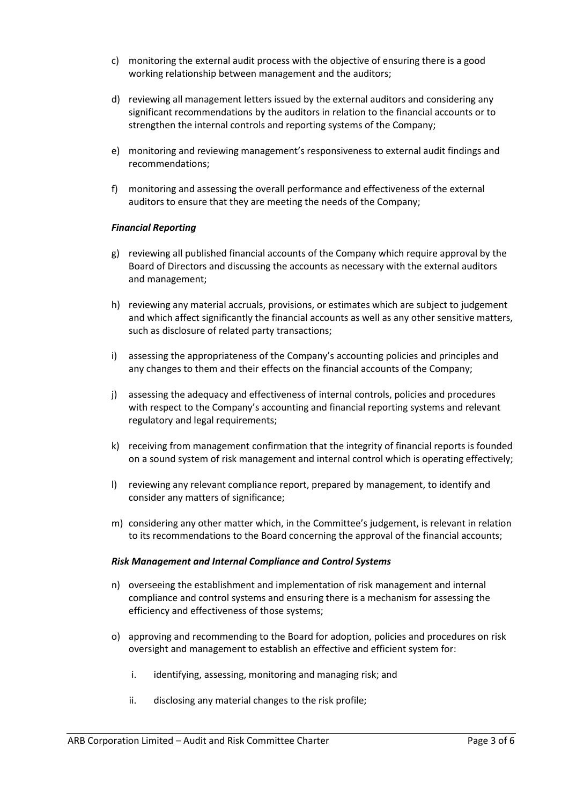- c) monitoring the external audit process with the objective of ensuring there is a good working relationship between management and the auditors;
- d) reviewing all management letters issued by the external auditors and considering any significant recommendations by the auditors in relation to the financial accounts or to strengthen the internal controls and reporting systems of the Company;
- e) monitoring and reviewing management's responsiveness to external audit findings and recommendations;
- f) monitoring and assessing the overall performance and effectiveness of the external auditors to ensure that they are meeting the needs of the Company;

#### *Financial Reporting*

- g) reviewing all published financial accounts of the Company which require approval by the Board of Directors and discussing the accounts as necessary with the external auditors and management;
- h) reviewing any material accruals, provisions, or estimates which are subject to judgement and which affect significantly the financial accounts as well as any other sensitive matters, such as disclosure of related party transactions;
- i) assessing the appropriateness of the Company's accounting policies and principles and any changes to them and their effects on the financial accounts of the Company;
- j) assessing the adequacy and effectiveness of internal controls, policies and procedures with respect to the Company's accounting and financial reporting systems and relevant regulatory and legal requirements;
- k) receiving from management confirmation that the integrity of financial reports is founded on a sound system of risk management and internal control which is operating effectively;
- l) reviewing any relevant compliance report, prepared by management, to identify and consider any matters of significance;
- m) considering any other matter which, in the Committee's judgement, is relevant in relation to its recommendations to the Board concerning the approval of the financial accounts;

#### *Risk Management and Internal Compliance and Control Systems*

- n) overseeing the establishment and implementation of risk management and internal compliance and control systems and ensuring there is a mechanism for assessing the efficiency and effectiveness of those systems;
- o) approving and recommending to the Board for adoption, policies and procedures on risk oversight and management to establish an effective and efficient system for:
	- i. identifying, assessing, monitoring and managing risk; and
	- ii. disclosing any material changes to the risk profile;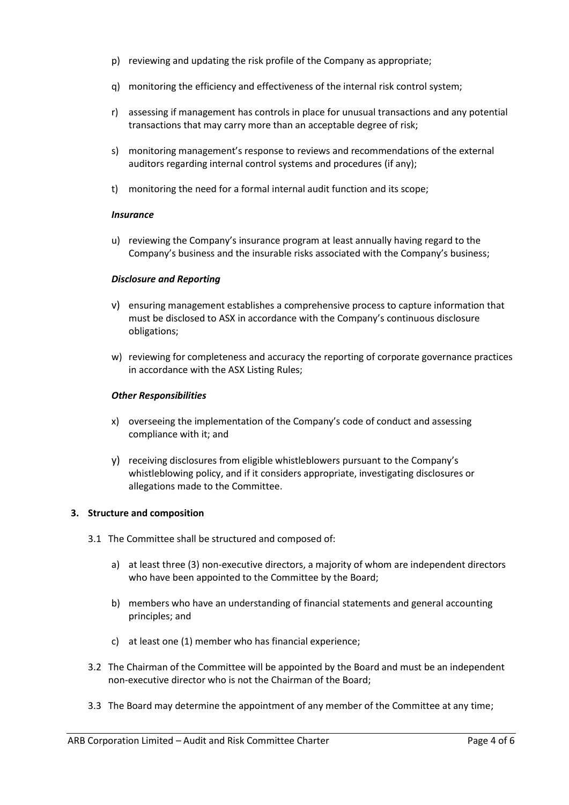- p) reviewing and updating the risk profile of the Company as appropriate;
- q) monitoring the efficiency and effectiveness of the internal risk control system;
- r) assessing if management has controls in place for unusual transactions and any potential transactions that may carry more than an acceptable degree of risk;
- s) monitoring management's response to reviews and recommendations of the external auditors regarding internal control systems and procedures (if any);
- t) monitoring the need for a formal internal audit function and its scope;

#### *Insurance*

u) reviewing the Company's insurance program at least annually having regard to the Company's business and the insurable risks associated with the Company's business;

# *Disclosure and Reporting*

- v) ensuring management establishes a comprehensive process to capture information that must be disclosed to ASX in accordance with the Company's continuous disclosure obligations;
- w) reviewing for completeness and accuracy the reporting of corporate governance practices in accordance with the ASX Listing Rules;

# *Other Responsibilities*

- x) overseeing the implementation of the Company's code of conduct and assessing compliance with it; and
- y) receiving disclosures from eligible whistleblowers pursuant to the Company's whistleblowing policy, and if it considers appropriate, investigating disclosures or allegations made to the Committee.

#### **3. Structure and composition**

- 3.1 The Committee shall be structured and composed of:
	- a) at least three (3) non-executive directors, a majority of whom are independent directors who have been appointed to the Committee by the Board;
	- b) members who have an understanding of financial statements and general accounting principles; and
	- c) at least one (1) member who has financial experience;
- 3.2 The Chairman of the Committee will be appointed by the Board and must be an independent non-executive director who is not the Chairman of the Board;
- 3.3 The Board may determine the appointment of any member of the Committee at any time;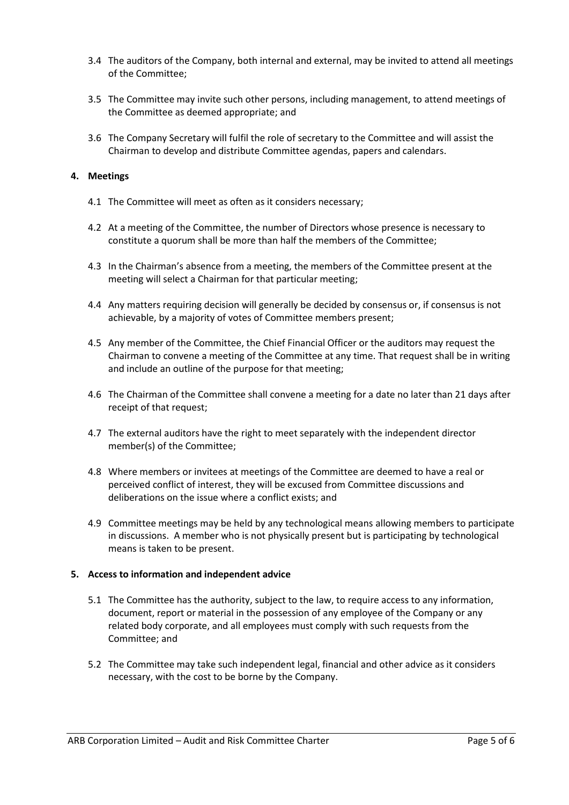- 3.4 The auditors of the Company, both internal and external, may be invited to attend all meetings of the Committee;
- 3.5 The Committee may invite such other persons, including management, to attend meetings of the Committee as deemed appropriate; and
- 3.6 The Company Secretary will fulfil the role of secretary to the Committee and will assist the Chairman to develop and distribute Committee agendas, papers and calendars.

#### **4. Meetings**

- 4.1 The Committee will meet as often as it considers necessary;
- 4.2 At a meeting of the Committee, the number of Directors whose presence is necessary to constitute a quorum shall be more than half the members of the Committee;
- 4.3 In the Chairman's absence from a meeting, the members of the Committee present at the meeting will select a Chairman for that particular meeting;
- 4.4 Any matters requiring decision will generally be decided by consensus or, if consensus is not achievable, by a majority of votes of Committee members present;
- 4.5 Any member of the Committee, the Chief Financial Officer or the auditors may request the Chairman to convene a meeting of the Committee at any time. That request shall be in writing and include an outline of the purpose for that meeting;
- 4.6 The Chairman of the Committee shall convene a meeting for a date no later than 21 days after receipt of that request;
- 4.7 The external auditors have the right to meet separately with the independent director member(s) of the Committee;
- 4.8 Where members or invitees at meetings of the Committee are deemed to have a real or perceived conflict of interest, they will be excused from Committee discussions and deliberations on the issue where a conflict exists; and
- 4.9 Committee meetings may be held by any technological means allowing members to participate in discussions. A member who is not physically present but is participating by technological means is taken to be present.

#### **5. Access to information and independent advice**

- 5.1 The Committee has the authority, subject to the law, to require access to any information, document, report or material in the possession of any employee of the Company or any related body corporate, and all employees must comply with such requests from the Committee; and
- 5.2 The Committee may take such independent legal, financial and other advice as it considers necessary, with the cost to be borne by the Company.